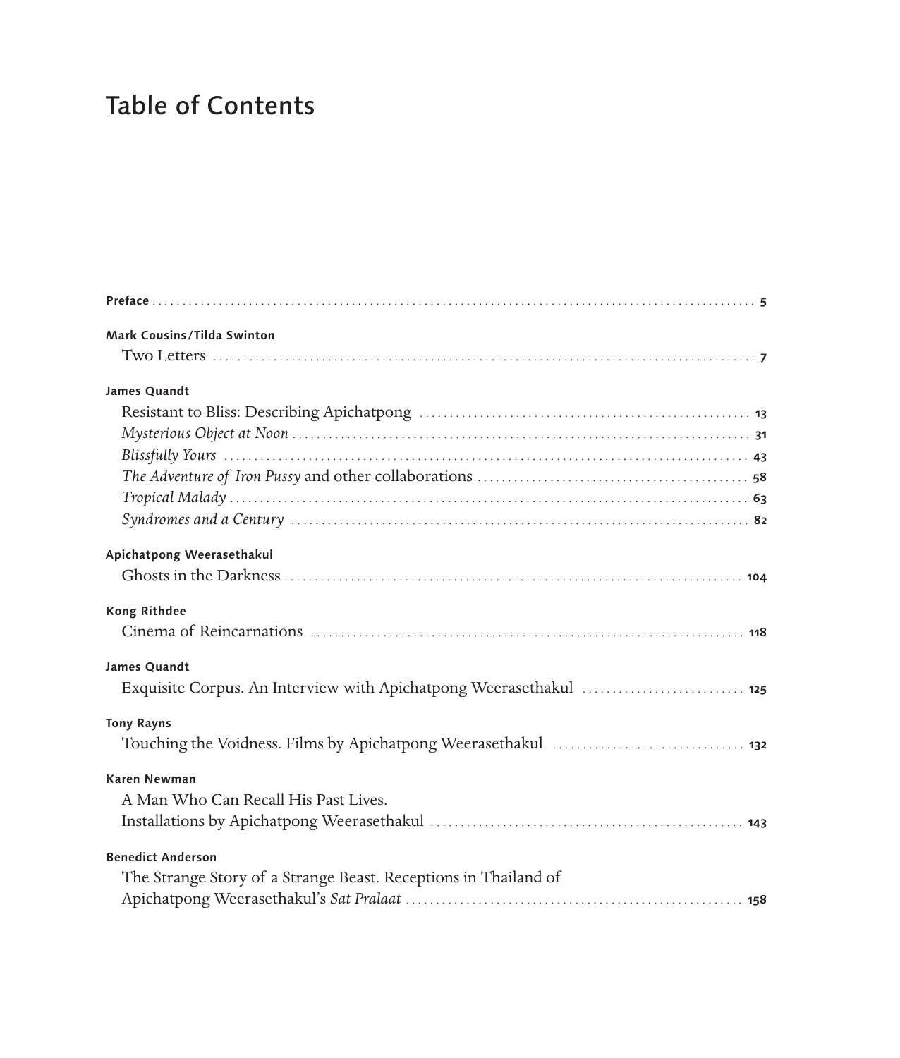## Table of Contents

| Mark Cousins/Tilda Swinton                                         |
|--------------------------------------------------------------------|
|                                                                    |
| James Quandt                                                       |
|                                                                    |
|                                                                    |
|                                                                    |
|                                                                    |
|                                                                    |
|                                                                    |
| Apichatpong Weerasethakul                                          |
|                                                                    |
| <b>Kong Rithdee</b>                                                |
|                                                                    |
| James Quandt                                                       |
| Exquisite Corpus. An Interview with Apichatpong Weerasethakul  125 |
| <b>Tony Rayns</b>                                                  |
|                                                                    |
| <b>Karen Newman</b>                                                |
| A Man Who Can Recall His Past Lives.                               |
|                                                                    |
| <b>Benedict Anderson</b>                                           |
| The Strange Story of a Strange Beast. Receptions in Thailand of    |
|                                                                    |